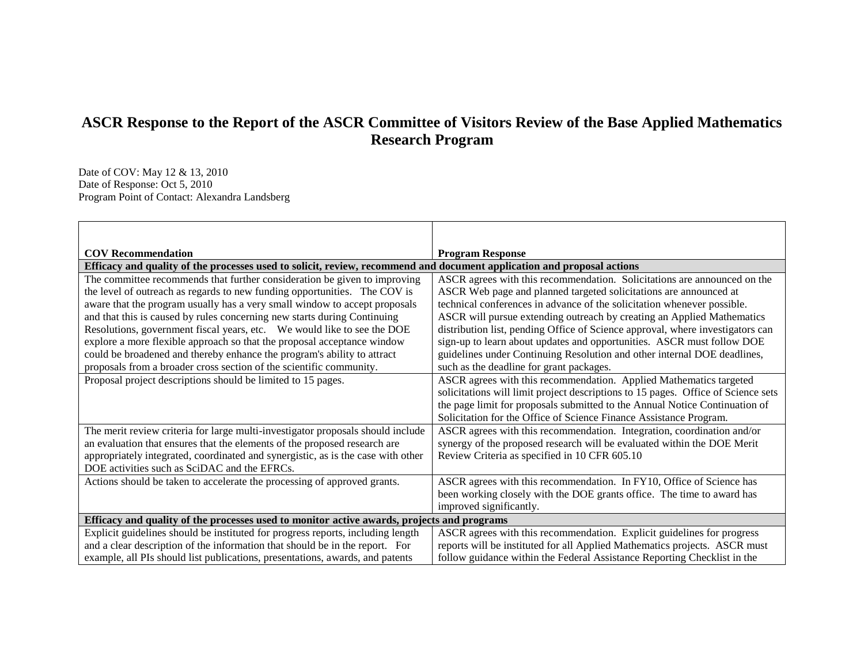## **ASCR Response to the Report of the ASCR Committee of Visitors Review of the Base Applied Mathematics Research Program**

Date of COV: May 12 & 13, 2010 Date of Response: Oct 5, 2010 Program Point of Contact: Alexandra Landsberg

| <b>COV Recommendation</b>                                                                                                                                                                                                                                                                                                                                                                                                                                               | <b>Program Response</b>                                                                                                                                                                                                                                                                                                                                                                                                                                        |
|-------------------------------------------------------------------------------------------------------------------------------------------------------------------------------------------------------------------------------------------------------------------------------------------------------------------------------------------------------------------------------------------------------------------------------------------------------------------------|----------------------------------------------------------------------------------------------------------------------------------------------------------------------------------------------------------------------------------------------------------------------------------------------------------------------------------------------------------------------------------------------------------------------------------------------------------------|
| Efficacy and quality of the processes used to solicit, review, recommend and document application and proposal actions                                                                                                                                                                                                                                                                                                                                                  |                                                                                                                                                                                                                                                                                                                                                                                                                                                                |
| The committee recommends that further consideration be given to improving<br>the level of outreach as regards to new funding opportunities. The COV is<br>aware that the program usually has a very small window to accept proposals<br>and that this is caused by rules concerning new starts during Continuing<br>Resolutions, government fiscal years, etc.  We would like to see the DOE<br>explore a more flexible approach so that the proposal acceptance window | ASCR agrees with this recommendation. Solicitations are announced on the<br>ASCR Web page and planned targeted solicitations are announced at<br>technical conferences in advance of the solicitation whenever possible.<br>ASCR will pursue extending outreach by creating an Applied Mathematics<br>distribution list, pending Office of Science approval, where investigators can<br>sign-up to learn about updates and opportunities. ASCR must follow DOE |
| could be broadened and thereby enhance the program's ability to attract<br>proposals from a broader cross section of the scientific community.                                                                                                                                                                                                                                                                                                                          | guidelines under Continuing Resolution and other internal DOE deadlines,<br>such as the deadline for grant packages.                                                                                                                                                                                                                                                                                                                                           |
| Proposal project descriptions should be limited to 15 pages.                                                                                                                                                                                                                                                                                                                                                                                                            | ASCR agrees with this recommendation. Applied Mathematics targeted<br>solicitations will limit project descriptions to 15 pages. Office of Science sets<br>the page limit for proposals submitted to the Annual Notice Continuation of<br>Solicitation for the Office of Science Finance Assistance Program.                                                                                                                                                   |
| The merit review criteria for large multi-investigator proposals should include<br>an evaluation that ensures that the elements of the proposed research are<br>appropriately integrated, coordinated and synergistic, as is the case with other<br>DOE activities such as SciDAC and the EFRCs.                                                                                                                                                                        | ASCR agrees with this recommendation. Integration, coordination and/or<br>synergy of the proposed research will be evaluated within the DOE Merit<br>Review Criteria as specified in 10 CFR 605.10                                                                                                                                                                                                                                                             |
| Actions should be taken to accelerate the processing of approved grants.                                                                                                                                                                                                                                                                                                                                                                                                | ASCR agrees with this recommendation. In FY10, Office of Science has<br>been working closely with the DOE grants office. The time to award has<br>improved significantly.                                                                                                                                                                                                                                                                                      |
| Efficacy and quality of the processes used to monitor active awards, projects and programs                                                                                                                                                                                                                                                                                                                                                                              |                                                                                                                                                                                                                                                                                                                                                                                                                                                                |
| Explicit guidelines should be instituted for progress reports, including length<br>and a clear description of the information that should be in the report. For<br>example, all PIs should list publications, presentations, awards, and patents                                                                                                                                                                                                                        | ASCR agrees with this recommendation. Explicit guidelines for progress<br>reports will be instituted for all Applied Mathematics projects. ASCR must<br>follow guidance within the Federal Assistance Reporting Checklist in the                                                                                                                                                                                                                               |